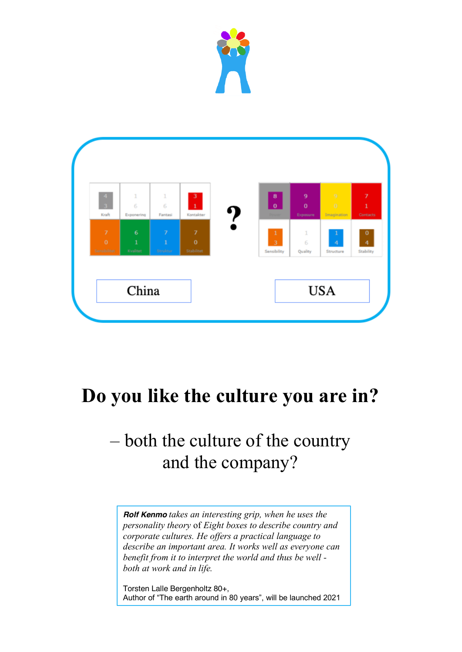



# **Do you like the culture you are in?**

# – both the culture of the country and the company?

*Rolf Kenmo takes an interesting grip, when he uses the personality theory* of *Eight boxes to describe country and corporate cultures. He offers a practical language to describe an important area. It works well as everyone can benefit from it to interpret the world and thus be well both at work and in life.*

Torsten Lalle Bergenholtz 80+, Author of "The earth around in 80 years", will be launched 2021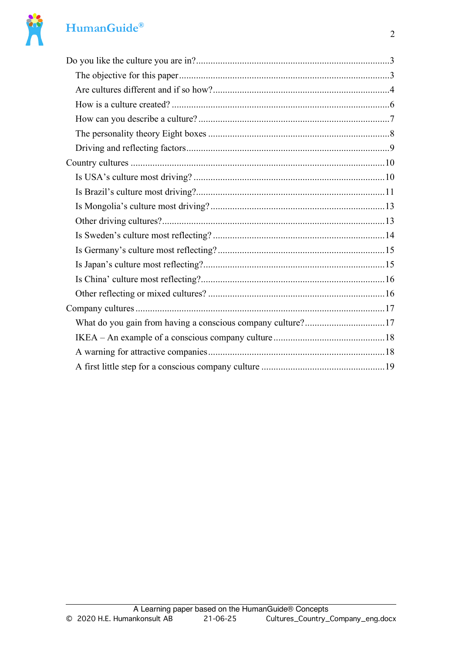| What do you gain from having a conscious company culture?17 |  |  |
|-------------------------------------------------------------|--|--|
|                                                             |  |  |
|                                                             |  |  |
|                                                             |  |  |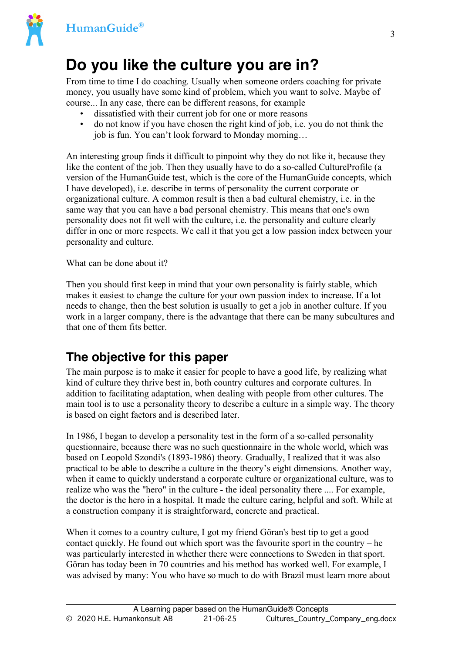

# **Do you like the culture you are in?**

From time to time I do coaching. Usually when someone orders coaching for private money, you usually have some kind of problem, which you want to solve. Maybe of course... In any case, there can be different reasons, for example

- dissatisfied with their current job for one or more reasons
- do not know if you have chosen the right kind of job, i.e. you do not think the job is fun. You can't look forward to Monday morning…

An interesting group finds it difficult to pinpoint why they do not like it, because they like the content of the job. Then they usually have to do a so-called CultureProfile (a version of the HumanGuide test, which is the core of the HumanGuide concepts, which I have developed), i.e. describe in terms of personality the current corporate or organizational culture. A common result is then a bad cultural chemistry, i.e. in the same way that you can have a bad personal chemistry. This means that one's own personality does not fit well with the culture, i.e. the personality and culture clearly differ in one or more respects. We call it that you get a low passion index between your personality and culture.

What can be done about it?

Then you should first keep in mind that your own personality is fairly stable, which makes it easiest to change the culture for your own passion index to increase. If a lot needs to change, then the best solution is usually to get a job in another culture. If you work in a larger company, there is the advantage that there can be many subcultures and that one of them fits better.

# **The objective for this paper**

The main purpose is to make it easier for people to have a good life, by realizing what kind of culture they thrive best in, both country cultures and corporate cultures. In addition to facilitating adaptation, when dealing with people from other cultures. The main tool is to use a personality theory to describe a culture in a simple way. The theory is based on eight factors and is described later.

In 1986, I began to develop a personality test in the form of a so-called personality questionnaire, because there was no such questionnaire in the whole world, which was based on Leopold Szondi's (1893-1986) theory. Gradually, I realized that it was also practical to be able to describe a culture in the theory's eight dimensions. Another way, when it came to quickly understand a corporate culture or organizational culture, was to realize who was the "hero" in the culture - the ideal personality there .... For example, the doctor is the hero in a hospital. It made the culture caring, helpful and soft. While at a construction company it is straightforward, concrete and practical.

When it comes to a country culture, I got my friend Göran's best tip to get a good contact quickly. He found out which sport was the favourite sport in the country – he was particularly interested in whether there were connections to Sweden in that sport. Göran has today been in 70 countries and his method has worked well. For example, I was advised by many: You who have so much to do with Brazil must learn more about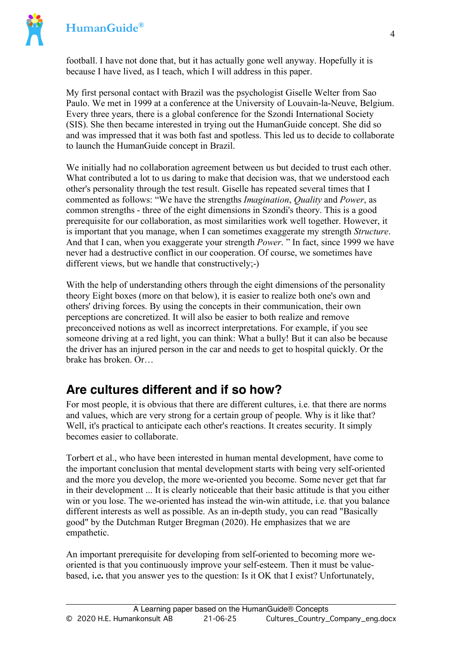



football. I have not done that, but it has actually gone well anyway. Hopefully it is because I have lived, as I teach, which I will address in this paper.

My first personal contact with Brazil was the psychologist Giselle Welter from Sao Paulo. We met in 1999 at a conference at the University of Louvain-la-Neuve, Belgium. Every three years, there is a global conference for the Szondi International Society (SIS). She then became interested in trying out the HumanGuide concept. She did so and was impressed that it was both fast and spotless. This led us to decide to collaborate to launch the HumanGuide concept in Brazil.

We initially had no collaboration agreement between us but decided to trust each other. What contributed a lot to us daring to make that decision was, that we understood each other's personality through the test result. Giselle has repeated several times that I commented as follows: "We have the strengths *Imagination*, *Quality* and *Power*, as common strengths - three of the eight dimensions in Szondi's theory. This is a good prerequisite for our collaboration, as most similarities work well together. However, it is important that you manage, when I can sometimes exaggerate my strength *Structure*. And that I can, when you exaggerate your strength *Power*. " In fact, since 1999 we have never had a destructive conflict in our cooperation. Of course, we sometimes have different views, but we handle that constructively;-)

With the help of understanding others through the eight dimensions of the personality theory Eight boxes (more on that below), it is easier to realize both one's own and others' driving forces. By using the concepts in their communication, their own perceptions are concretized. It will also be easier to both realize and remove preconceived notions as well as incorrect interpretations. For example, if you see someone driving at a red light, you can think: What a bully! But it can also be because the driver has an injured person in the car and needs to get to hospital quickly. Or the brake has broken. Or…

### **Are cultures different and if so how?**

For most people, it is obvious that there are different cultures, i.e. that there are norms and values, which are very strong for a certain group of people. Why is it like that? Well, it's practical to anticipate each other's reactions. It creates security. It simply becomes easier to collaborate.

Torbert et al., who have been interested in human mental development, have come to the important conclusion that mental development starts with being very self-oriented and the more you develop, the more we-oriented you become. Some never get that far in their development ... It is clearly noticeable that their basic attitude is that you either win or you lose. The we-oriented has instead the win-win attitude, i.e. that you balance different interests as well as possible. As an in-depth study, you can read "Basically good" by the Dutchman Rutger Bregman (2020). He emphasizes that we are empathetic.

An important prerequisite for developing from self-oriented to becoming more weoriented is that you continuously improve your self-esteem. Then it must be valuebased, i**.**e**.** that you answer yes to the question: Is it OK that I exist? Unfortunately,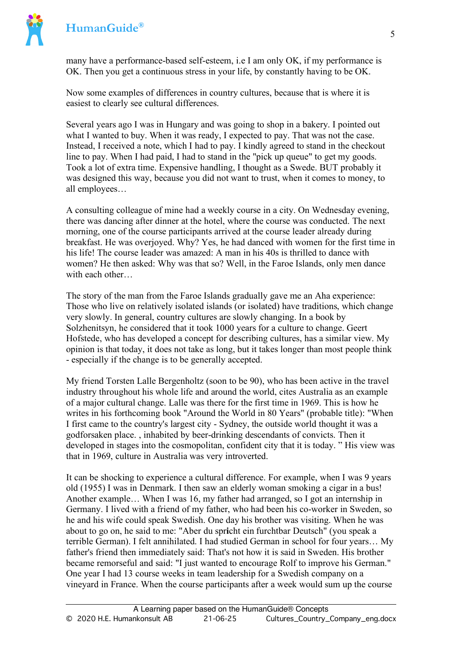

many have a performance-based self-esteem, i.e I am only OK, if my performance is OK. Then you get a continuous stress in your life, by constantly having to be OK.

Now some examples of differences in country cultures, because that is where it is easiest to clearly see cultural differences.

Several years ago I was in Hungary and was going to shop in a bakery. I pointed out what I wanted to buy. When it was ready, I expected to pay. That was not the case. Instead, I received a note, which I had to pay. I kindly agreed to stand in the checkout line to pay. When I had paid, I had to stand in the "pick up queue" to get my goods. Took a lot of extra time. Expensive handling, I thought as a Swede. BUT probably it was designed this way, because you did not want to trust, when it comes to money, to all employees…

A consulting colleague of mine had a weekly course in a city. On Wednesday evening, there was dancing after dinner at the hotel, where the course was conducted. The next morning, one of the course participants arrived at the course leader already during breakfast. He was overjoyed. Why? Yes, he had danced with women for the first time in his life! The course leader was amazed: A man in his 40s is thrilled to dance with women? He then asked: Why was that so? Well, in the Faroe Islands, only men dance with each other…

The story of the man from the Faroe Islands gradually gave me an Aha experience: Those who live on relatively isolated islands (or isolated) have traditions, which change very slowly. In general, country cultures are slowly changing. In a book by Solzhenitsyn, he considered that it took 1000 years for a culture to change. Geert Hofstede, who has developed a concept for describing cultures, has a similar view. My opinion is that today, it does not take as long, but it takes longer than most people think - especially if the change is to be generally accepted.

My friend Torsten Lalle Bergenholtz (soon to be 90), who has been active in the travel industry throughout his whole life and around the world, cites Australia as an example of a major cultural change. Lalle was there for the first time in 1969. This is how he writes in his forthcoming book "Around the World in 80 Years" (probable title): "When I first came to the country's largest city - Sydney, the outside world thought it was a godforsaken place. , inhabited by beer-drinking descendants of convicts. Then it developed in stages into the cosmopolitan, confident city that it is today. " His view was that in 1969, culture in Australia was very introverted.

It can be shocking to experience a cultural difference. For example, when I was 9 years old (1955) I was in Denmark. I then saw an elderly woman smoking a cigar in a bus! Another example… When I was 16, my father had arranged, so I got an internship in Germany. I lived with a friend of my father, who had been his co-worker in Sweden, so he and his wife could speak Swedish. One day his brother was visiting. When he was about to go on, he said to me: "Aber du spr**i**cht ein furchtbar Deutsch" (you speak a terrible German). I felt annihilated. I had studied German in school for four years… My father's friend then immediately said: That's not how it is said in Sweden. His brother became remorseful and said: "I just wanted to encourage Rolf to improve his German." One year I had 13 course weeks in team leadership for a Swedish company on a vineyard in France. When the course participants after a week would sum up the course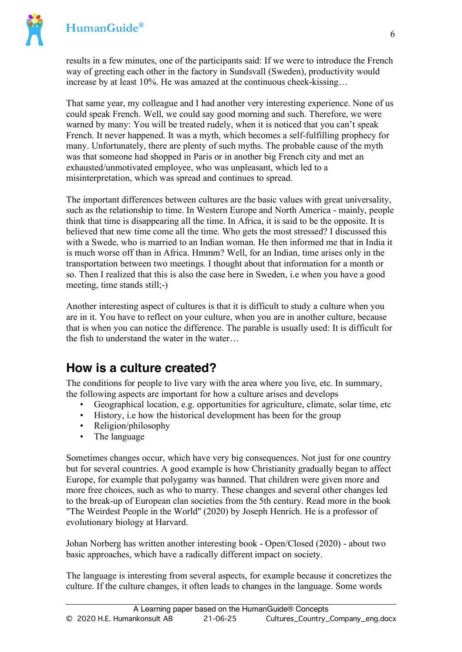

results in a few minutes, one of the participants said: If we were to introduce the French way of greeting each other in the factory in Sundsvall (Sweden), productivity would increase by at least 10%. He was amazed at the continuous cheek-kissing…

That same year, my colleague and I had another very interesting experience. None of us could speak French. Well, we could say good morning and such. Therefore, we were warned by many: You will be treated rudely, when it is noticed that you can't speak French. It never happened. It was a myth, which becomes a self-fulfilling prophecy for many. Unfortunately, there are plenty of such myths. The probable cause of the myth was that someone had shopped in Paris or in another big French city and met an exhausted/unmotivated employee, who was unpleasant, which led to a misinterpretation, which was spread and continues to spread.

The important differences between cultures are the basic values with great universality, such as the relationship to time. In Western Europe and North America - mainly, people think that time is disappearing all the time. In Africa, it is said to be the opposite. It is believed that new time come all the time. Who gets the most stressed? I discussed this with a Swede, who is married to an Indian woman. He then informed me that in India it is much worse off than in Africa. Hmmm? Well, for an Indian, time arises only in the transportation between two meetings. I thought about that information for a month or so. Then I realized that this is also the case here in Sweden, i.e when you have a good meeting, time stands still;-)

Another interesting aspect of cultures is that it is difficult to study a culture when you are in it. You have to reflect on your culture, when you are in another culture, because that is when you can notice the difference. The parable is usually used: It is difficult for the fish to understand the water in the water…

### **How is a culture created?**

The conditions for people to live vary with the area where you live, etc. In summary, the following aspects are important for how a culture arises and develops

- Geographical location, e.g. opportunities for agriculture, climate, solar time, etc
- History, i.e how the historical development has been for the group
- Religion/philosophy
- The language

Sometimes changes occur, which have very big consequences. Not just for one country but for several countries. A good example is how Christianity gradually began to affect Europe, for example that polygamy was banned. That children were given more and more free choices, such as who to marry. These changes and several other changes led to the break-up of European clan societies from the 5th century. Read more in the book "The Weirdest People in the World" (2020) by Joseph Henrich. He is a professor of evolutionary biology at Harvard.

Johan Norberg has written another interesting book - Open/Closed (2020) - about two basic approaches, which have a radically different impact on society.

The language is interesting from several aspects, for example because it concretizes the culture. If the culture changes, it often leads to changes in the language. Some words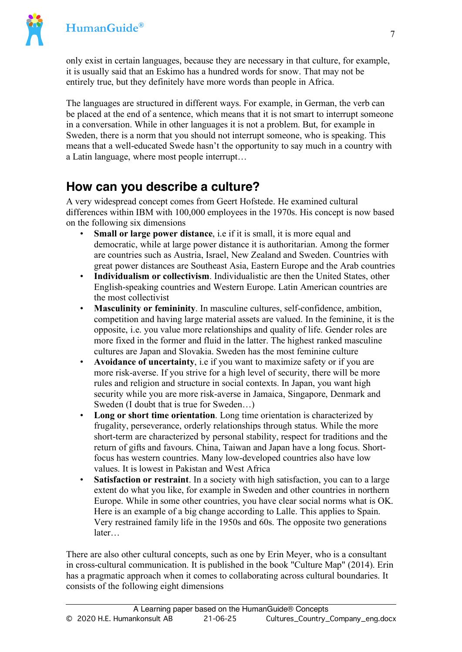

only exist in certain languages, because they are necessary in that culture, for example, it is usually said that an Eskimo has a hundred words for snow. That may not be entirely true, but they definitely have more words than people in Africa.

The languages are structured in different ways. For example, in German, the verb can be placed at the end of a sentence, which means that it is not smart to interrupt someone in a conversation. While in other languages it is not a problem. But, for example in Sweden, there is a norm that you should not interrupt someone, who is speaking. This means that a well-educated Swede hasn't the opportunity to say much in a country with a Latin language, where most people interrupt…

#### **How can you describe a culture?**

A very widespread concept comes from Geert Hofstede. He examined cultural differences within IBM with 100,000 employees in the 1970s. His concept is now based on the following six dimensions

- **Small or large power distance**, i.e if it is small, it is more equal and democratic, while at large power distance it is authoritarian. Among the former are countries such as Austria, Israel, New Zealand and Sweden. Countries with great power distances are Southeast Asia, Eastern Europe and the Arab countries
- **Individualism or collectivism**. Individualistic are then the United States, other English-speaking countries and Western Europe. Latin American countries are the most collectivist
- **Masculinity or femininity**. In masculine cultures, self-confidence, ambition, competition and having large material assets are valued. In the feminine, it is the opposite, i.e. you value more relationships and quality of life. Gender roles are more fixed in the former and fluid in the latter. The highest ranked masculine cultures are Japan and Slovakia. Sweden has the most feminine culture
- **Avoidance of uncertainty**, i.e if you want to maximize safety or if you are more risk-averse. If you strive for a high level of security, there will be more rules and religion and structure in social contexts. In Japan, you want high security while you are more risk-averse in Jamaica, Singapore, Denmark and Sweden (I doubt that is true for Sweden…)
- **Long or short time orientation**. Long time orientation is characterized by frugality, perseverance, orderly relationships through status. While the more short-term are characterized by personal stability, respect for traditions and the return of gifts and favours. China, Taiwan and Japan have a long focus. Shortfocus has western countries. Many low-developed countries also have low values. It is lowest in Pakistan and West Africa
- **Satisfaction or restraint**. In a society with high satisfaction, you can to a large extent do what you like, for example in Sweden and other countries in northern Europe. While in some other countries, you have clear social norms what is OK. Here is an example of a big change according to Lalle. This applies to Spain. Very restrained family life in the 1950s and 60s. The opposite two generations later…

There are also other cultural concepts, such as one by Erin Meyer, who is a consultant in cross-cultural communication. It is published in the book "Culture Map" (2014). Erin has a pragmatic approach when it comes to collaborating across cultural boundaries. It consists of the following eight dimensions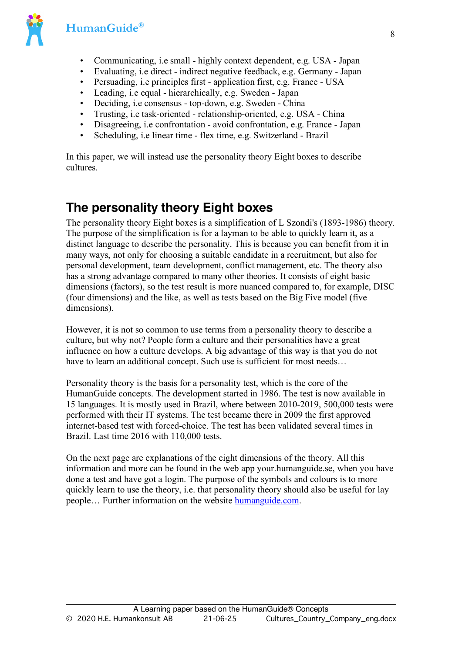

- Communicating, i.e small highly context dependent, e.g. USA Japan
- Evaluating, i.e direct indirect negative feedback, e.g. Germany Japan
- Persuading, i.e principles first application first, e.g. France USA
- Leading, i.e equal hierarchically, e.g. Sweden Japan
- Deciding, i.e consensus top-down, e.g. Sweden China
- Trusting, i.e task-oriented relationship-oriented, e.g. USA China
- Disagreeing, i.e confrontation avoid confrontation, e.g. France Japan
- Scheduling, i.e linear time flex time, e.g. Switzerland Brazil

In this paper, we will instead use the personality theory Eight boxes to describe cultures.

#### **The personality theory Eight boxes**

The personality theory Eight boxes is a simplification of L Szondi's (1893-1986) theory. The purpose of the simplification is for a layman to be able to quickly learn it, as a distinct language to describe the personality. This is because you can benefit from it in many ways, not only for choosing a suitable candidate in a recruitment, but also for personal development, team development, conflict management, etc. The theory also has a strong advantage compared to many other theories. It consists of eight basic dimensions (factors), so the test result is more nuanced compared to, for example, DISC (four dimensions) and the like, as well as tests based on the Big Five model (five dimensions).

However, it is not so common to use terms from a personality theory to describe a culture, but why not? People form a culture and their personalities have a great influence on how a culture develops. A big advantage of this way is that you do not have to learn an additional concept. Such use is sufficient for most needs...

Personality theory is the basis for a personality test, which is the core of the HumanGuide concepts. The development started in 1986. The test is now available in 15 languages. It is mostly used in Brazil, where between 2010-2019, 500,000 tests were performed with their IT systems. The test became there in 2009 the first approved internet-based test with forced-choice. The test has been validated several times in Brazil. Last time 2016 with 110,000 tests.

On the next page are explanations of the eight dimensions of the theory. All this information and more can be found in the web app your.humanguide.se, when you have done a test and have got a login. The purpose of the symbols and colours is to more quickly learn to use the theory, i.e. that personality theory should also be useful for lay people… Further information on the website humanguide.com.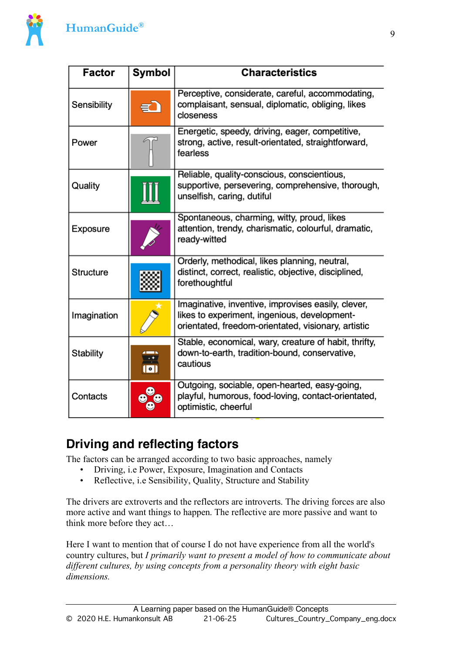

| Factor      | Symbol | <b>Characteristics</b>                                                                                                                                    |
|-------------|--------|-----------------------------------------------------------------------------------------------------------------------------------------------------------|
| Sensibility |        | Perceptive, considerate, careful, accommodating,<br>complaisant, sensual, diplomatic, obliging, likes<br>closeness                                        |
| Power       |        | Energetic, speedy, driving, eager, competitive,<br>strong, active, result-orientated, straightforward,<br>fearless                                        |
| Quality     |        | Reliable, quality-conscious, conscientious,<br>supportive, persevering, comprehensive, thorough,<br>unselfish, caring, dutiful                            |
| Exposure    |        | Spontaneous, charming, witty, proud, likes<br>attention, trendy, charismatic, colourful, dramatic,<br>ready-witted                                        |
| Structure   |        | Orderly, methodical, likes planning, neutral,<br>distinct, correct, realistic, objective, disciplined,<br>forethoughtful                                  |
| Imagination |        | Imaginative, inventive, improvises easily, clever,<br>likes to experiment, ingenious, development-<br>orientated, freedom-orientated, visionary, artistic |
| Stability   | l o l' | Stable, economical, wary, creature of habit, thrifty,<br>down-to-earth, tradition-bound, conservative,<br>cautious                                        |
| Contacts    |        | Outgoing, sociable, open-hearted, easy-going,<br>playful, humorous, food-loving, contact-orientated,<br>optimistic, cheerful                              |

#### **Driving and reflecting factors**

The factors can be arranged according to two basic approaches, namely

- Driving, i.e Power, Exposure, Imagination and Contacts
- Reflective, i.e Sensibility, Quality, Structure and Stability

The drivers are extroverts and the reflectors are introverts. The driving forces are also more active and want things to happen. The reflective are more passive and want to think more before they act…

Here I want to mention that of course I do not have experience from all the world's country cultures, but *I primarily want to present a model of how to communicate about different cultures, by using concepts from a personality theory with eight basic dimensions.*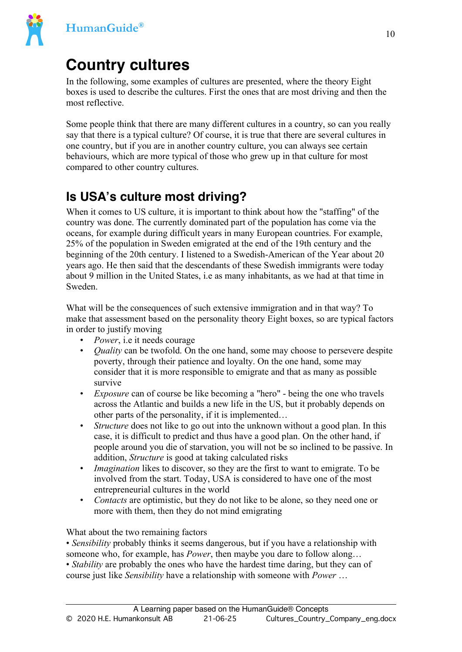

# **Country cultures**

In the following, some examples of cultures are presented, where the theory Eight boxes is used to describe the cultures. First the ones that are most driving and then the most reflective.

Some people think that there are many different cultures in a country, so can you really say that there is a typical culture? Of course, it is true that there are several cultures in one country, but if you are in another country culture, you can always see certain behaviours, which are more typical of those who grew up in that culture for most compared to other country cultures.

# **Is USA's culture most driving?**

When it comes to US culture, it is important to think about how the "staffing" of the country was done. The currently dominated part of the population has come via the oceans, for example during difficult years in many European countries. For example, 25% of the population in Sweden emigrated at the end of the 19th century and the beginning of the 20th century. I listened to a Swedish-American of the Year about 20 years ago. He then said that the descendants of these Swedish immigrants were today about 9 million in the United States, i.e as many inhabitants, as we had at that time in Sweden.

What will be the consequences of such extensive immigration and in that way? To make that assessment based on the personality theory Eight boxes, so are typical factors in order to justify moving

- *Power*, i.e it needs courage
- *Quality* can be twofold. On the one hand, some may choose to persevere despite poverty, through their patience and loyalty. On the one hand, some may consider that it is more responsible to emigrate and that as many as possible survive
- *Exposure* can of course be like becoming a "hero" being the one who travels across the Atlantic and builds a new life in the US, but it probably depends on other parts of the personality, if it is implemented…
- *Structure* does not like to go out into the unknown without a good plan. In this case, it is difficult to predict and thus have a good plan. On the other hand, if people around you die of starvation, you will not be so inclined to be passive. In addition, *Structure* is good at taking calculated risks
- *Imagination* likes to discover, so they are the first to want to emigrate. To be involved from the start. Today, USA is considered to have one of the most entrepreneurial cultures in the world
- *Contacts* are optimistic, but they do not like to be alone, so they need one or more with them, then they do not mind emigrating

#### What about the two remaining factors

• *Sensibility* probably thinks it seems dangerous, but if you have a relationship with someone who, for example, has *Power*, then maybe you dare to follow along… • *Stability* are probably the ones who have the hardest time daring, but they can of course just like *Sensibility* have a relationship with someone with *Power* …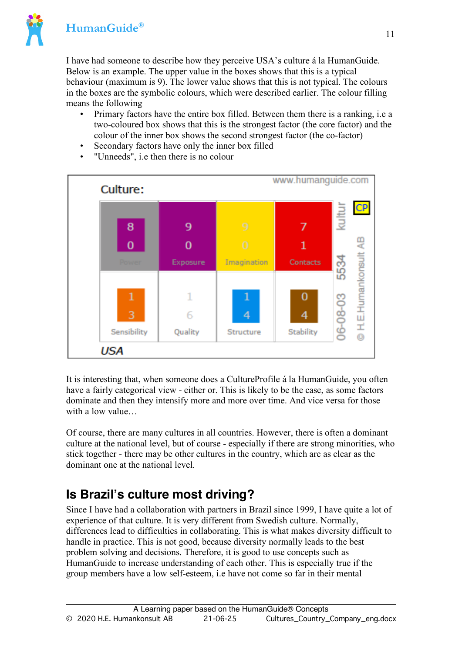

I have had someone to describe how they perceive USA's culture á la HumanGuide. Below is an example. The upper value in the boxes shows that this is a typical behaviour (maximum is 9). The lower value shows that this is not typical. The colours in the boxes are the symbolic colours, which were described earlier. The colour filling means the following

- Primary factors have the entire box filled. Between them there is a ranking, i.e a two-coloured box shows that this is the strongest factor (the core factor) and the colour of the inner box shows the second strongest factor (the co-factor)
- Secondary factors have only the inner box filled
- "Unneeds", i.e then there is no colour



It is interesting that, when someone does a CultureProfile á la HumanGuide, you often have a fairly categorical view - either or. This is likely to be the case, as some factors dominate and then they intensify more and more over time. And vice versa for those with a low value

Of course, there are many cultures in all countries. However, there is often a dominant culture at the national level, but of course - especially if there are strong minorities, who stick together - there may be other cultures in the country, which are as clear as the dominant one at the national level.

## **Is Brazil's culture most driving?**

Since I have had a collaboration with partners in Brazil since 1999, I have quite a lot of experience of that culture. It is very different from Swedish culture. Normally, differences lead to difficulties in collaborating. This is what makes diversity difficult to handle in practice. This is not good, because diversity normally leads to the best problem solving and decisions. Therefore, it is good to use concepts such as HumanGuide to increase understanding of each other. This is especially true if the group members have a low self-esteem, i.e have not come so far in their mental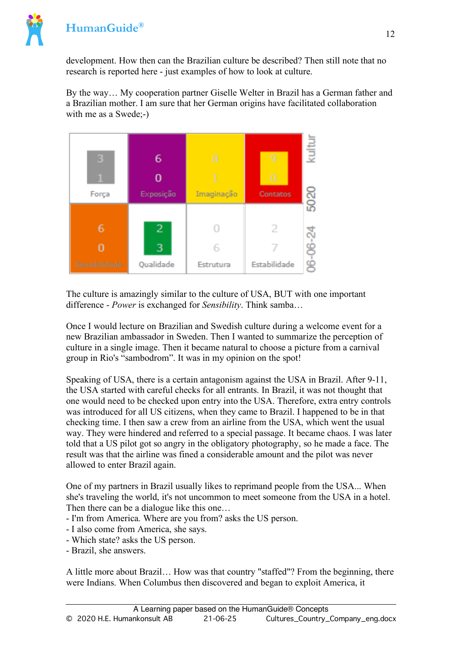

development. How then can the Brazilian culture be described? Then still note that no research is reported here - just examples of how to look at culture.

By the way… My cooperation partner Giselle Welter in Brazil has a German father and a Brazilian mother. I am sure that her German origins have facilitated collaboration with me as a Swede;-)



The culture is amazingly similar to the culture of USA, BUT with one important difference - *Power* is exchanged for *Sensibility*. Think samba…

Once I would lecture on Brazilian and Swedish culture during a welcome event for a new Brazilian ambassador in Sweden. Then I wanted to summarize the perception of culture in a single image. Then it became natural to choose a picture from a carnival group in Rio's "sambodrom". It was in my opinion on the spot!

Speaking of USA, there is a certain antagonism against the USA in Brazil. After 9-11, the USA started with careful checks for all entrants. In Brazil, it was not thought that one would need to be checked upon entry into the USA. Therefore, extra entry controls was introduced for all US citizens, when they came to Brazil. I happened to be in that checking time. I then saw a crew from an airline from the USA, which went the usual way. They were hindered and referred to a special passage. It became chaos. I was later told that a US pilot got so angry in the obligatory photography, so he made a face. The result was that the airline was fined a considerable amount and the pilot was never allowed to enter Brazil again.

One of my partners in Brazil usually likes to reprimand people from the USA... When she's traveling the world, it's not uncommon to meet someone from the USA in a hotel. Then there can be a dialogue like this one...

- I'm from America. Where are you from? asks the US person.
- I also come from America, she says.
- Which state? asks the US person.
- Brazil, she answers.

A little more about Brazil… How was that country "staffed"? From the beginning, there were Indians. When Columbus then discovered and began to exploit America, it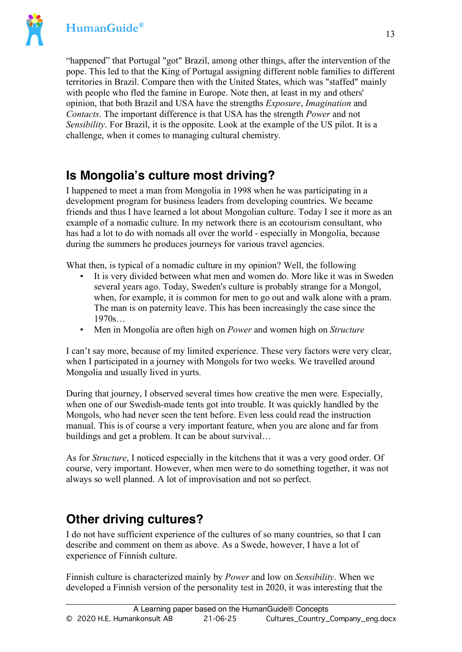

"happened" that Portugal "got" Brazil, among other things, after the intervention of the pope. This led to that the King of Portugal assigning different noble families to different territories in Brazil. Compare then with the United States, which was "staffed" mainly with people who fled the famine in Europe. Note then, at least in my and others' opinion, that both Brazil and USA have the strengths *Exposure*, *Imagination* and *Contacts*. The important difference is that USA has the strength *Power* and not *Sensibility*. For Brazil, it is the opposite. Look at the example of the US pilot. It is a challenge, when it comes to managing cultural chemistry.

## **Is Mongolia's culture most driving?**

I happened to meet a man from Mongolia in 1998 when he was participating in a development program for business leaders from developing countries. We became friends and thus I have learned a lot about Mongolian culture. Today I see it more as an example of a nomadic culture. In my network there is an ecotourism consultant, who has had a lot to do with nomads all over the world - especially in Mongolia, because during the summers he produces journeys for various travel agencies.

What then, is typical of a nomadic culture in my opinion? Well, the following

- It is very divided between what men and women do. More like it was in Sweden several years ago. Today, Sweden's culture is probably strange for a Mongol, when, for example, it is common for men to go out and walk alone with a pram. The man is on paternity leave. This has been increasingly the case since the 1970s…
- Men in Mongolia are often high on *Power* and women high on *Structure*

I can't say more, because of my limited experience. These very factors were very clear, when I participated in a journey with Mongols for two weeks. We travelled around Mongolia and usually lived in yurts.

During that journey, I observed several times how creative the men were. Especially, when one of our Swedish-made tents got into trouble. It was quickly handled by the Mongols, who had never seen the tent before. Even less could read the instruction manual. This is of course a very important feature, when you are alone and far from buildings and get a problem. It can be about survival…

As for *Structure*, I noticed especially in the kitchens that it was a very good order. Of course, very important. However, when men were to do something together, it was not always so well planned. A lot of improvisation and not so perfect.

### **Other driving cultures?**

I do not have sufficient experience of the cultures of so many countries, so that I can describe and comment on them as above. As a Swede, however, I have a lot of experience of Finnish culture.

Finnish culture is characterized mainly by *Power* and low on *Sensibility*. When we developed a Finnish version of the personality test in 2020, it was interesting that the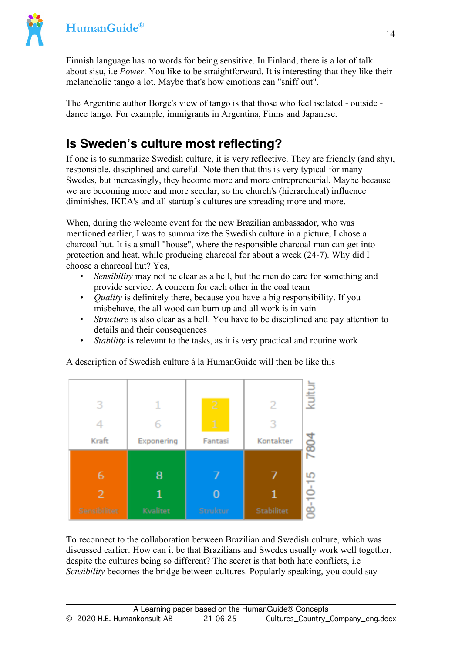

Finnish language has no words for being sensitive. In Finland, there is a lot of talk about sisu, i.e *Power*. You like to be straightforward. It is interesting that they like their melancholic tango a lot. Maybe that's how emotions can "sniff out".

The Argentine author Borge's view of tango is that those who feel isolated - outside dance tango. For example, immigrants in Argentina, Finns and Japanese.

# **Is Sweden's culture most reflecting?**

If one is to summarize Swedish culture, it is very reflective. They are friendly (and shy), responsible, disciplined and careful. Note then that this is very typical for many Swedes, but increasingly, they become more and more entrepreneurial. Maybe because we are becoming more and more secular, so the church's (hierarchical) influence diminishes. IKEA's and all startup's cultures are spreading more and more.

When, during the welcome event for the new Brazilian ambassador, who was mentioned earlier, I was to summarize the Swedish culture in a picture, I chose a charcoal hut. It is a small "house", where the responsible charcoal man can get into protection and heat, while producing charcoal for about a week (24-7). Why did I choose a charcoal hut? Yes,

- *Sensibility* may not be clear as a bell, but the men do care for something and provide service. A concern for each other in the coal team
- *Quality* is definitely there, because you have a big responsibility. If you misbehave, the all wood can burn up and all work is in vain
- *Structure* is also clear as a bell. You have to be disciplined and pay attention to details and their consequences
- *Stability* is relevant to the tasks, as it is very practical and routine work

A description of Swedish culture á la HumanGuide will then be like this



To reconnect to the collaboration between Brazilian and Swedish culture, which was discussed earlier. How can it be that Brazilians and Swedes usually work well together, despite the cultures being so different? The secret is that both hate conflicts, i.e *Sensibility* becomes the bridge between cultures. Popularly speaking, you could say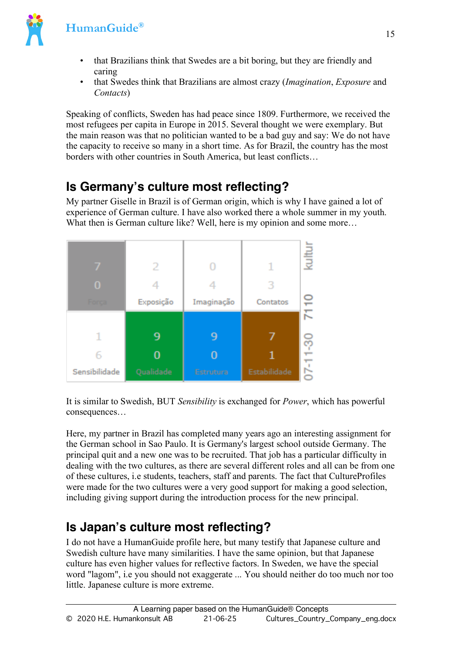

- that Brazilians think that Swedes are a bit boring, but they are friendly and caring
- that Swedes think that Brazilians are almost crazy (*Imagination*, *Exposure* and *Contacts*)

Speaking of conflicts, Sweden has had peace since 1809. Furthermore, we received the most refugees per capita in Europe in 2015. Several thought we were exemplary. But the main reason was that no politician wanted to be a bad guy and say: We do not have the capacity to receive so many in a short time. As for Brazil, the country has the most borders with other countries in South America, but least conflicts…

# **Is Germany's culture most reflecting?**

My partner Giselle in Brazil is of German origin, which is why I have gained a lot of experience of German culture. I have also worked there a whole summer in my youth. What then is German culture like? Well, here is my opinion and some more...



It is similar to Swedish, BUT *Sensibility* is exchanged for *Power*, which has powerful consequences…

Here, my partner in Brazil has completed many years ago an interesting assignment for the German school in Sao Paulo. It is Germany's largest school outside Germany. The principal quit and a new one was to be recruited. That job has a particular difficulty in dealing with the two cultures, as there are several different roles and all can be from one of these cultures, i.e students, teachers, staff and parents. The fact that CultureProfiles were made for the two cultures were a very good support for making a good selection, including giving support during the introduction process for the new principal.

# **Is Japan's culture most reflecting?**

I do not have a HumanGuide profile here, but many testify that Japanese culture and Swedish culture have many similarities. I have the same opinion, but that Japanese culture has even higher values for reflective factors. In Sweden, we have the special word "lagom", i.e you should not exaggerate ... You should neither do too much nor too little. Japanese culture is more extreme.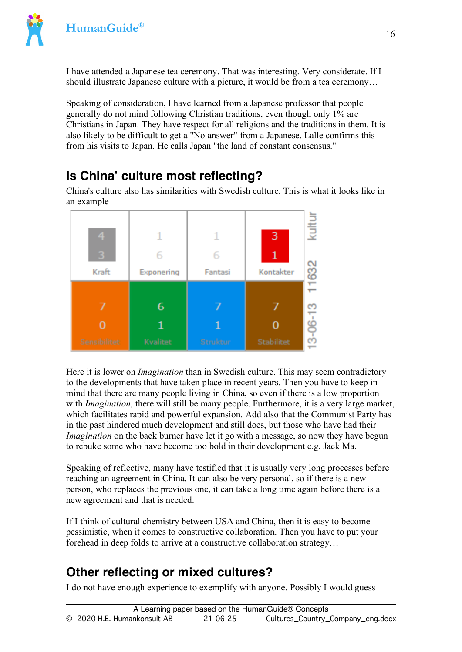

I have attended a Japanese tea ceremony. That was interesting. Very considerate. If I should illustrate Japanese culture with a picture, it would be from a tea ceremony…

Speaking of consideration, I have learned from a Japanese professor that people generally do not mind following Christian traditions, even though only 1% are Christians in Japan. They have respect for all religions and the traditions in them. It is also likely to be difficult to get a "No answer" from a Japanese. Lalle confirms this from his visits to Japan. He calls Japan "the land of constant consensus."

#### **Is China' culture most reflecting?**

China's culture also has similarities with Swedish culture. This is what it looks like in an example



Here it is lower on *Imagination* than in Swedish culture. This may seem contradictory to the developments that have taken place in recent years. Then you have to keep in mind that there are many people living in China, so even if there is a low proportion with *Imagination*, there will still be many people. Furthermore, it is a very large market, which facilitates rapid and powerful expansion. Add also that the Communist Party has in the past hindered much development and still does, but those who have had their *Imagination* on the back burner have let it go with a message, so now they have begun to rebuke some who have become too bold in their development e.g. Jack Ma.

Speaking of reflective, many have testified that it is usually very long processes before reaching an agreement in China. It can also be very personal, so if there is a new person, who replaces the previous one, it can take a long time again before there is a new agreement and that is needed.

If I think of cultural chemistry between USA and China, then it is easy to become pessimistic, when it comes to constructive collaboration. Then you have to put your forehead in deep folds to arrive at a constructive collaboration strategy…

#### **Other reflecting or mixed cultures?**

I do not have enough experience to exemplify with anyone. Possibly I would guess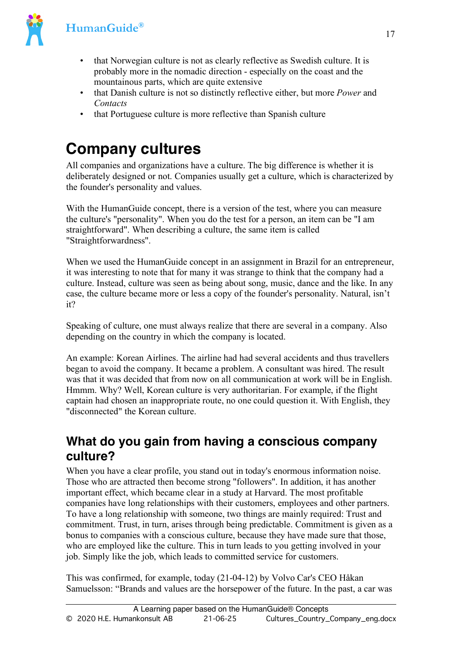

- that Norwegian culture is not as clearly reflective as Swedish culture. It is probably more in the nomadic direction - especially on the coast and the mountainous parts, which are quite extensive
- that Danish culture is not so distinctly reflective either, but more *Power* and *Contacts*
- that Portuguese culture is more reflective than Spanish culture

# **Company cultures**

All companies and organizations have a culture. The big difference is whether it is deliberately designed or not. Companies usually get a culture, which is characterized by the founder's personality and values.

With the HumanGuide concept, there is a version of the test, where you can measure the culture's "personality". When you do the test for a person, an item can be "I am straightforward". When describing a culture, the same item is called "Straightforwardness".

When we used the HumanGuide concept in an assignment in Brazil for an entrepreneur, it was interesting to note that for many it was strange to think that the company had a culture. Instead, culture was seen as being about song, music, dance and the like. In any case, the culture became more or less a copy of the founder's personality. Natural, isn't it?

Speaking of culture, one must always realize that there are several in a company. Also depending on the country in which the company is located.

An example: Korean Airlines. The airline had had several accidents and thus travellers began to avoid the company. It became a problem. A consultant was hired. The result was that it was decided that from now on all communication at work will be in English. Hmmm. Why? Well, Korean culture is very authoritarian. For example, if the flight captain had chosen an inappropriate route, no one could question it. With English, they "disconnected" the Korean culture.

### **What do you gain from having a conscious company culture?**

When you have a clear profile, you stand out in today's enormous information noise. Those who are attracted then become strong "followers". In addition, it has another important effect, which became clear in a study at Harvard. The most profitable companies have long relationships with their customers, employees and other partners. To have a long relationship with someone, two things are mainly required: Trust and commitment. Trust, in turn, arises through being predictable. Commitment is given as a bonus to companies with a conscious culture, because they have made sure that those, who are employed like the culture. This in turn leads to you getting involved in your job. Simply like the job, which leads to committed service for customers.

This was confirmed, for example, today (21-04-12) by Volvo Car's CEO Håkan Samuelsson: "Brands and values are the horsepower of the future. In the past, a car was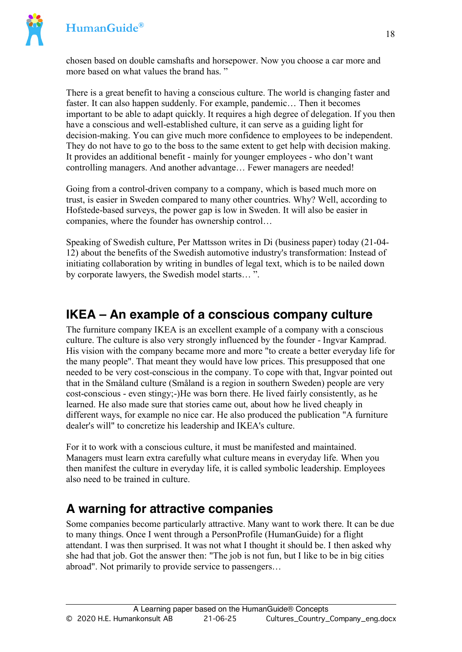

chosen based on double camshafts and horsepower. Now you choose a car more and more based on what values the brand has. "

There is a great benefit to having a conscious culture. The world is changing faster and faster. It can also happen suddenly. For example, pandemic… Then it becomes important to be able to adapt quickly. It requires a high degree of delegation. If you then have a conscious and well-established culture, it can serve as a guiding light for decision-making. You can give much more confidence to employees to be independent. They do not have to go to the boss to the same extent to get help with decision making. It provides an additional benefit - mainly for younger employees - who don't want controlling managers. And another advantage… Fewer managers are needed!

Going from a control-driven company to a company, which is based much more on trust, is easier in Sweden compared to many other countries. Why? Well, according to Hofstede-based surveys, the power gap is low in Sweden. It will also be easier in companies, where the founder has ownership control…

Speaking of Swedish culture, Per Mattsson writes in Di (business paper) today (21-04- 12) about the benefits of the Swedish automotive industry's transformation: Instead of initiating collaboration by writing in bundles of legal text, which is to be nailed down by corporate lawyers, the Swedish model starts… ".

### **IKEA – An example of a conscious company culture**

The furniture company IKEA is an excellent example of a company with a conscious culture. The culture is also very strongly influenced by the founder - Ingvar Kamprad. His vision with the company became more and more "to create a better everyday life for the many people". That meant they would have low prices. This presupposed that one needed to be very cost-conscious in the company. To cope with that, Ingvar pointed out that in the Småland culture (Småland is a region in southern Sweden) people are very cost-conscious - even stingy;-)He was born there. He lived fairly consistently, as he learned. He also made sure that stories came out, about how he lived cheaply in different ways, for example no nice car. He also produced the publication "A furniture dealer's will" to concretize his leadership and IKEA's culture.

For it to work with a conscious culture, it must be manifested and maintained. Managers must learn extra carefully what culture means in everyday life. When you then manifest the culture in everyday life, it is called symbolic leadership. Employees also need to be trained in culture.

### **A warning for attractive companies**

Some companies become particularly attractive. Many want to work there. It can be due to many things. Once I went through a PersonProfile (HumanGuide) for a flight attendant. I was then surprised. It was not what I thought it should be. I then asked why she had that job. Got the answer then: "The job is not fun, but I like to be in big cities abroad". Not primarily to provide service to passengers…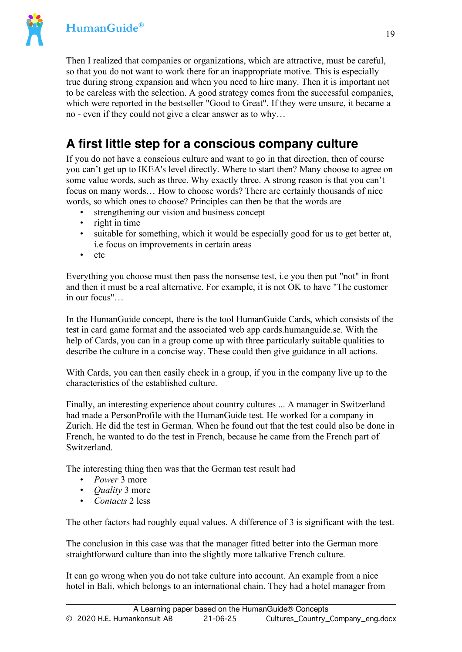

Then I realized that companies or organizations, which are attractive, must be careful, so that you do not want to work there for an inappropriate motive. This is especially true during strong expansion and when you need to hire many. Then it is important not to be careless with the selection. A good strategy comes from the successful companies, which were reported in the bestseller "Good to Great". If they were unsure, it became a no - even if they could not give a clear answer as to why…

# **A first little step for a conscious company culture**

If you do not have a conscious culture and want to go in that direction, then of course you can't get up to IKEA's level directly. Where to start then? Many choose to agree on some value words, such as three. Why exactly three. A strong reason is that you can't focus on many words… How to choose words? There are certainly thousands of nice words, so which ones to choose? Principles can then be that the words are

- strengthening our vision and business concept
- right in time
- suitable for something, which it would be especially good for us to get better at, i.e focus on improvements in certain areas
- etc

Everything you choose must then pass the nonsense test, i.e you then put "not" in front and then it must be a real alternative. For example, it is not OK to have "The customer in our focus"…

In the HumanGuide concept, there is the tool HumanGuide Cards, which consists of the test in card game format and the associated web app cards.humanguide.se. With the help of Cards, you can in a group come up with three particularly suitable qualities to describe the culture in a concise way. These could then give guidance in all actions.

With Cards, you can then easily check in a group, if you in the company live up to the characteristics of the established culture.

Finally, an interesting experience about country cultures ... A manager in Switzerland had made a PersonProfile with the HumanGuide test. He worked for a company in Zurich. He did the test in German. When he found out that the test could also be done in French, he wanted to do the test in French, because he came from the French part of Switzerland.

The interesting thing then was that the German test result had

- *Power* 3 more
- *Quality* 3 more
- *Contacts* 2 less

The other factors had roughly equal values. A difference of 3 is significant with the test.

The conclusion in this case was that the manager fitted better into the German more straightforward culture than into the slightly more talkative French culture.

It can go wrong when you do not take culture into account. An example from a nice hotel in Bali, which belongs to an international chain. They had a hotel manager from